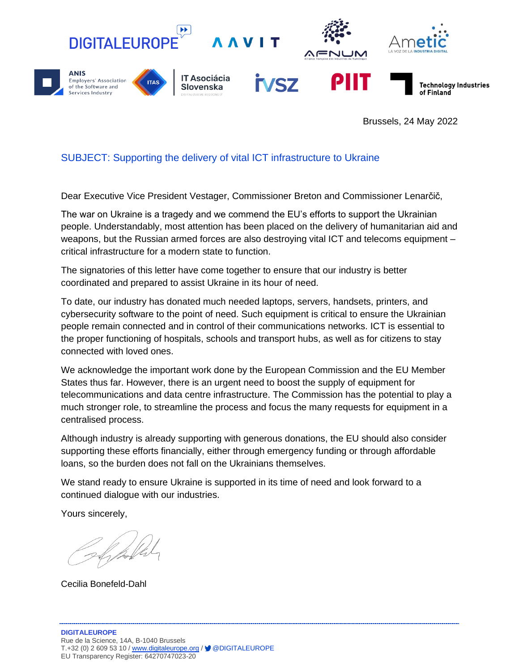

Brussels, 24 May 2022

## SUBJECT: Supporting the delivery of vital ICT infrastructure to Ukraine

Dear Executive Vice President Vestager, Commissioner Breton and Commissioner Lenarčič,

The war on Ukraine is a tragedy and we commend the EU's efforts to support the Ukrainian people. Understandably, most attention has been placed on the delivery of humanitarian aid and weapons, but the Russian armed forces are also destroying vital ICT and telecoms equipment – critical infrastructure for a modern state to function.

The signatories of this letter have come together to ensure that our industry is better coordinated and prepared to assist Ukraine in its hour of need.

To date, our industry has donated much needed laptops, servers, handsets, printers, and cybersecurity software to the point of need. Such equipment is critical to ensure the Ukrainian people remain connected and in control of their communications networks. ICT is essential to the proper functioning of hospitals, schools and transport hubs, as well as for citizens to stay connected with loved ones.

We acknowledge the important work done by the European Commission and the EU Member States thus far. However, there is an urgent need to boost the supply of equipment for telecommunications and data centre infrastructure. The Commission has the potential to play a much stronger role, to streamline the process and focus the many requests for equipment in a centralised process.

Although industry is already supporting with generous donations, the EU should also consider supporting these efforts financially, either through emergency funding or through affordable loans, so the burden does not fall on the Ukrainians themselves.

We stand ready to ensure Ukraine is supported in its time of need and look forward to a continued dialogue with our industries.

Yours sincerely,

Cecilia Bonefeld-Dahl